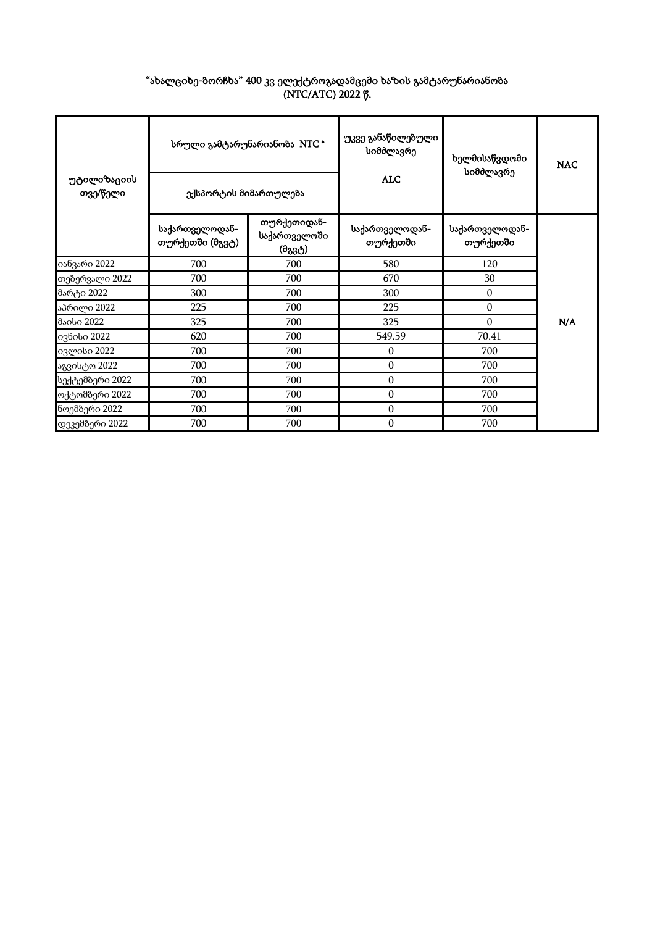| "ახალციხე-ბორჩხა" 400 კვ ელექტროგადამცემი ხაზის გამტარუნარიანობა |
|------------------------------------------------------------------|
| (NTC/ATC) 2022 წ.                                                |

| უტილიზაციის<br>თვე/წელი | ექსპორტის მიმართულება             | სრული გამტარუნარიანობა NTC *          | უკვე განაწილებული<br>სიმძლავრე<br><b>ALC</b> | ხელმისაწვდომი<br>სიმძლავრე | <b>NAC</b> |  |
|-------------------------|-----------------------------------|---------------------------------------|----------------------------------------------|----------------------------|------------|--|
|                         | საქართველოდან-<br>თურქეთში (მგვტ) | თურქეთიდან-<br>საქართველოში<br>(მგვტ) | საქართველოდან-<br>თურქეთში                   | საქართველოდან-<br>თურქეთში |            |  |
| იანვარი 2022            | 700                               | 700                                   | 580                                          | 120                        |            |  |
| თებერვალი 2022          | 700                               | 700                                   | 670                                          | 30                         |            |  |
| მარტი 2022              | 300                               | 700                                   | 300                                          | $\Omega$                   |            |  |
| აპრილი 2022             | 225                               | 700                                   | 225                                          | $\mathbf{0}$               |            |  |
| მაისი 2022              | 325                               | 700                                   | 325                                          | $\theta$                   | N/A        |  |
| ივნისი 2022             | 620                               | 700                                   | 549.59                                       | 70.41                      |            |  |
| ივლისი 2022             | 700                               | 700                                   | 0                                            | 700                        |            |  |
| აგვისტო 2022            | 700                               | 700                                   | $\mathbf{0}$                                 | 700                        |            |  |
| სექტემბერი 2022         | 700                               | 700                                   | 0                                            | 700                        |            |  |
| ოქტომბერი 2022          | 700                               | 700                                   | $\boldsymbol{0}$                             | 700                        |            |  |
| ნოემბერი 2022           | 700                               | 700                                   | $\mathbf{0}$                                 | 700                        |            |  |
| დეკემბერი 2022          | 700                               | 700                                   | $\mathbf{0}$                                 | 700                        |            |  |